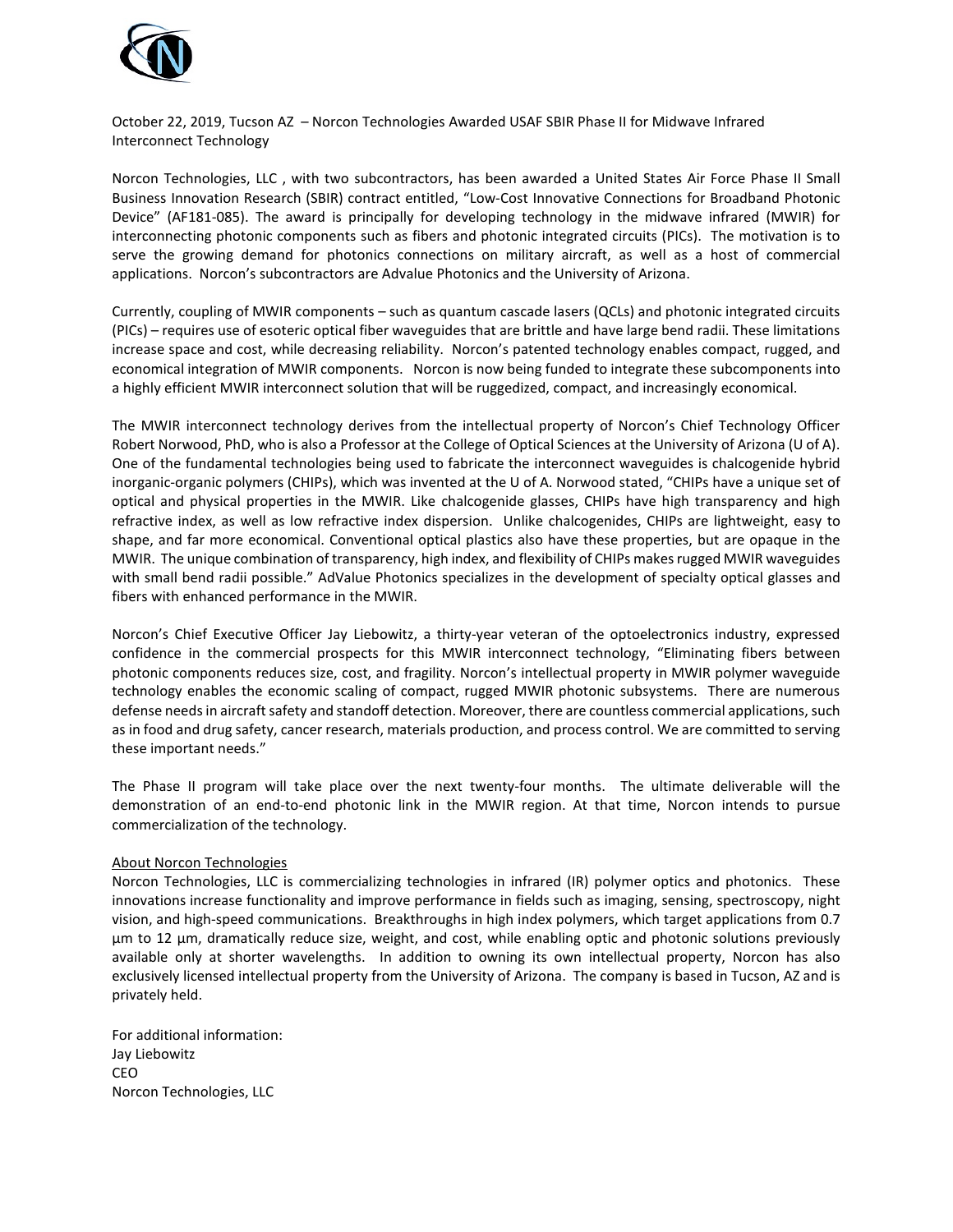

October 22, 2019, Tucson AZ – Norcon Technologies Awarded USAF SBIR Phase II for Midwave Infrared Interconnect Technology

Norcon Technologies, LLC , with two subcontractors, has been awarded a United States Air Force Phase II Small Business Innovation Research (SBIR) contract entitled, "Low-Cost Innovative Connections for Broadband Photonic Device" (AF181-085). The award is principally for developing technology in the midwave infrared (MWIR) for interconnecting photonic components such as fibers and photonic integrated circuits (PICs). The motivation is to serve the growing demand for photonics connections on military aircraft, as well as a host of commercial applications. Norcon's subcontractors are Advalue Photonics and the University of Arizona.

Currently, coupling of MWIR components – such as quantum cascade lasers (QCLs) and photonic integrated circuits (PICs) – requires use of esoteric optical fiber waveguides that are brittle and have large bend radii. These limitations increase space and cost, while decreasing reliability. Norcon's patented technology enables compact, rugged, and economical integration of MWIR components. Norcon is now being funded to integrate these subcomponents into a highly efficient MWIR interconnect solution that will be ruggedized, compact, and increasingly economical.

The MWIR interconnect technology derives from the intellectual property of Norcon's Chief Technology Officer Robert Norwood, PhD, who is also a Professor at the College of Optical Sciences at the University of Arizona (U of A). One of the fundamental technologies being used to fabricate the interconnect waveguides is chalcogenide hybrid inorganic-organic polymers (CHIPs), which was invented at the U of A. Norwood stated, "CHIPs have a unique set of optical and physical properties in the MWIR. Like chalcogenide glasses, CHIPs have high transparency and high refractive index, as well as low refractive index dispersion. Unlike chalcogenides, CHIPs are lightweight, easy to shape, and far more economical. Conventional optical plastics also have these properties, but are opaque in the MWIR. The unique combination of transparency, high index, and flexibility of CHIPs makes rugged MWIR waveguides with small bend radii possible." AdValue Photonics specializes in the development of specialty optical glasses and fibers with enhanced performance in the MWIR.

Norcon's Chief Executive Officer Jay Liebowitz, a thirty-year veteran of the optoelectronics industry, expressed confidence in the commercial prospects for this MWIR interconnect technology, "Eliminating fibers between photonic components reduces size, cost, and fragility. Norcon's intellectual property in MWIR polymer waveguide technology enables the economic scaling of compact, rugged MWIR photonic subsystems. There are numerous defense needs in aircraft safety and standoff detection. Moreover, there are countless commercial applications, such as in food and drug safety, cancer research, materials production, and process control. We are committed to serving these important needs."

The Phase II program will take place over the next twenty-four months. The ultimate deliverable will the demonstration of an end-to-end photonic link in the MWIR region. At that time, Norcon intends to pursue commercialization of the technology.

## About Norcon Technologies

Norcon Technologies, LLC is commercializing technologies in infrared (IR) polymer optics and photonics. These innovations increase functionality and improve performance in fields such as imaging, sensing, spectroscopy, night vision, and high-speed communications. Breakthroughs in high index polymers, which target applications from 0.7 µm to 12 µm, dramatically reduce size, weight, and cost, while enabling optic and photonic solutions previously available only at shorter wavelengths. In addition to owning its own intellectual property, Norcon has also exclusively licensed intellectual property from the University of Arizona. The company is based in Tucson, AZ and is privately held.

For additional information: Jay Liebowitz CEO Norcon Technologies, LLC